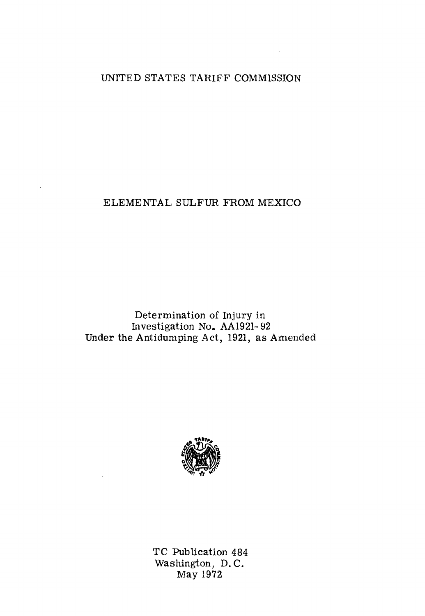# UNITED STATES TARIFF COMMISSION

 $\frac{1}{2} \int_{0}^{\infty} \frac{1}{\sqrt{2}} \, d\mu \, d\mu$ 

# ELEMENTAL SULFUR FROM MEXICO

Determination of Injury in Investigation Noa AA1921- 92 Under the Antidumping Act, 1921, as Amended



TC Publication 484 Washington, D. C. May 1972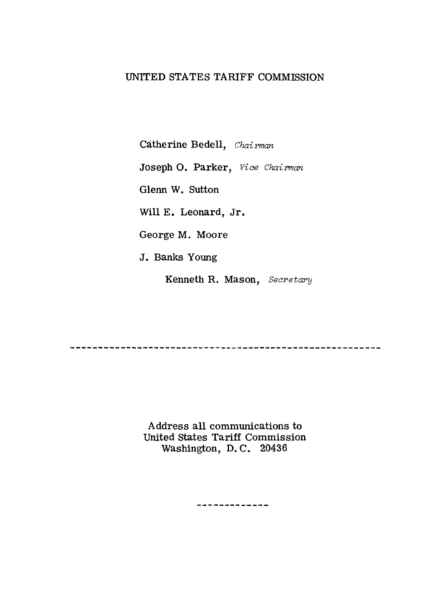# UNITED STATES TARIFF COMMISSION

Catherine Bedell, *Chairman* 

Joseph O. Parker, *Vice Chairman* 

Glenn W. Sutton

Will E. Leonard, Jr.

George M. Moore

J. Banks Young

Kenneth R. Mason, *Secretary* 

...................................

Address all communications to United states Tariff Commission Washington, D. C. 20436

-------------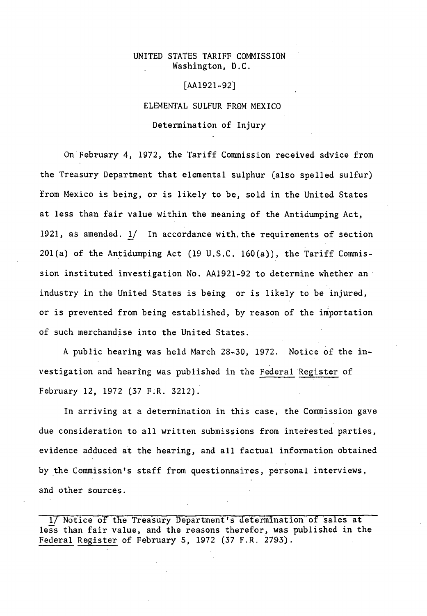#### UNITED STATES TARIFF COMMISSION Washington, D.C.

#### [AA1921-92]

ELEMENTAL SULFUR FROM MEXICO

Determination of Injury

On February 4, 1972, the Tariff Commission received advice from the Treasury Department that elemental sulphur (also spelled sulfur) from Mexico is being, or is likely to be, sold in the United States at less than fair value within the meaning of the Antidumping Act, 1921, as amended. 1/ In accordance with, the requirements of section  $201(a)$  of the Antidumping Act (19 U.S.C. 160(a)), the Tariff Commission instituted investigation No. AA1921-92 to determine whether an· industry in the United States is being or is likely to be injured, or is prevented from being established, by reason of the importation of such merchandise into the United States.

A public hearing was held March 28-30, 1972. Notice of the investigation and hearing was published in the Federal Register of February 12, 1972 (37 F.R. 3212).

In arriving at a determination in this case, the Commission gave due consideration to all written submissions from interested parties, evidence adduced at the hearing, and all factual information obtained by the Commission's staff from questionnaires, personal interviews, and other sources.

1/ Notice of the Treasury Department's determination of sales at less than fair value, and the reasons therefor, was published in the Federal Register of February 5, 1972 (37 F.R. 2793).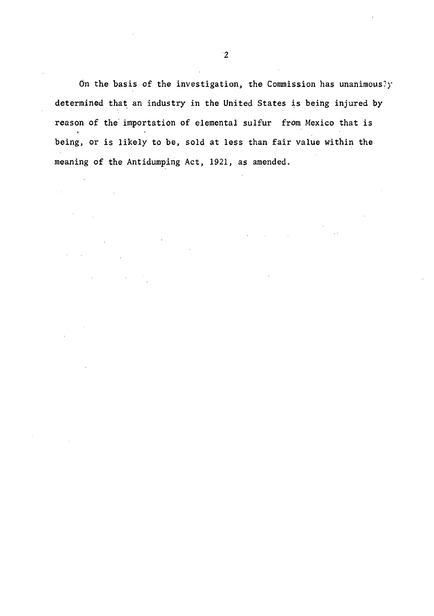On the basis of the investigation, the Commission has unanimously determined that an industry in the United States is being injured by reason of the importation of elemental sulfur from Mexico that is being, or is likely to be, sold at less than fair value within the meaning of the Antidumping Act, 1921, as amended.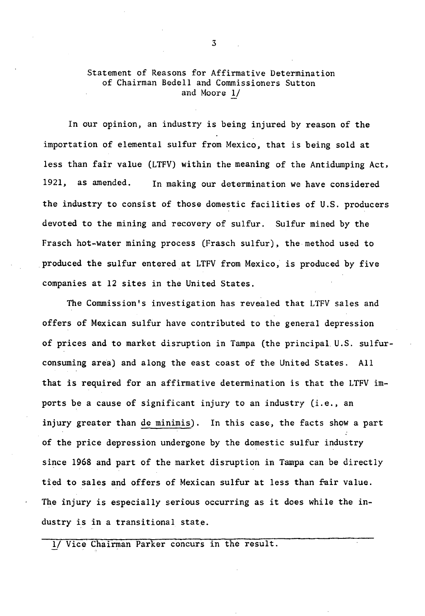## Statement of Reasons for Affirmative Determination of Chairman Bedell and Commissioners Sutton and Moore 1/

In our opinion, an industry is being injured by reason of the importation of elemental sulfur from Mexico, that is being sold at less than fair value (LTFV) within the meaning of the Antidumping Act, 1921, as amended. In making our determination we have considered the industry to consist of those domestic facilities of U.S. producers devoted to the mining and recovery of sulfur. Sulfur mined by the Frasch hot-water mining process (Frasch sulfur), the method used to produced the sulfur entered at LTFV from Mexico, is produced by five companies at 12 sites in the United States.

The Commission's investigation has revealed that LTFV sales and offers of Mexican sulfur have contributed to the general depression of prices and to market disruption in Tampa (the principal. U.S. sulfurconsuming area) and along the east coast of the United States. All that is required for an affirmative determination is that the LTFV imports be a cause of significant injury to an industry (i.e., an injury greater than de minimis). In this case, the facts show a part of the price depression undergone by the domestic sulfur industry since 1968 and part of the market disruption in Tampa can be directly tied to sales and offers of Mexican sulfur at less than fair value. The injury is especially serious occurring as it does while the industry is in a transitional state.

Vice Chairman Parker concurs in the result.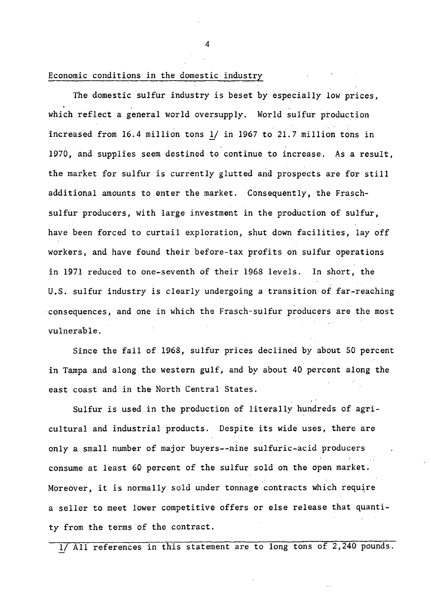# Economic conditions in the domestic industry

The domestic sulfur industry is beset *by* especially low prices, which reflect a general world oversupply. World sulfur production increased from 16.4 million tons *lf* in 1967 to 21.7 million tons in 1970, and supplies seem destined to continue to increase. As a result, the market for sulfur is currently glutted and prospects are for still additional amounts to enter the market. Consequently, the Fraschsulfur producers, with large investment in the production of sulfur, have been forced to curtail exploration, shut down facilities, lay off workers, and have found their before-tax profits on sulfur operations in 1971 reduced to one-seventh of their 1968 levels. In short, the U.S. sulfur industry is clearly undergoing a transition of far-reaching consequences, and one in which the Frasch-sulfur producers are the most vulnerable.

Since the fall of 1968, sulfur prices declined by about SO percent in Tampa and along the western gulf, and by about 40 percent along the east coast and in the North Central States.

Sulfur is used in the production of literally hundreds of agricultural and industrial products. Despite its wide *uses,* there are only a small number of major buyers--nine sulfuric-acid producers consume at least 60 percent of the sulfur sold on the open market. Moreover, it is normally sold under tonnage contracts which require a seller to meet lower competitive offers or else release that quantity from the terms of the contract.

1/ All references in this statement are to long tons of *2,240* pounds.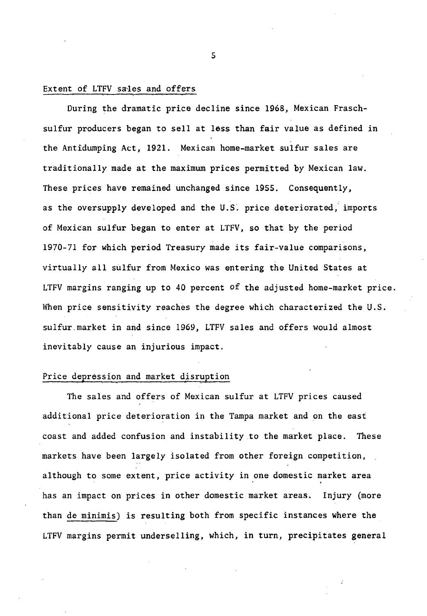#### Extent of LTFV sales and offers

During the dramatic price decline since 1968, Mexican Fraschsulfur producers began to sell at less than fair value as defined in the Antidumping Act, 1921. Mexican home-market sulfur sales are traditionally made at the maximum prices permitted by Mexican law. These prices have remained unchanged since 1955. Consequently, as the oversupply developed and the U.S. price deteriorated, imports of Mexiean sulfur began to enter at LTFV, so that by the period 1970-71 for which period Treasury made its fair-value comparisons, virtually all sulfur from Mexico was entering the United States at LTFV margins ranging up to 40 percent of the adjusted home-market price. When price sensitivity reaches the degree which characterized the U.S. sulfur.market in and since 1969, LTFV sales and offers would almost inevitably cause an injurious impact.

## Price depression and market disruption

The sales and offers of Mexican sulfur at LTFV prices caused additional price deterioration in the Tampa market and on the east coast and added confusion and instability .to the market place. These markets have been largely isolated from other foreign competition, although to some extent, price activity in one domestic market area has an impact on prices in other domestic market areas. Injury (more than de minimis) is resulting both from specific instances where the LTFV margins permit underselling, which, in turn, precipitates general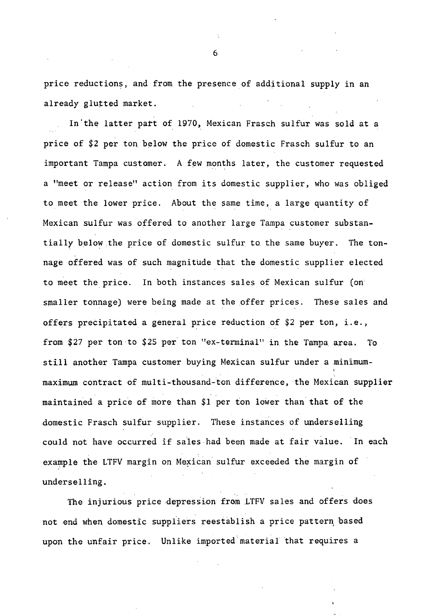price reductions, and from the presence of additional supply in an already glutted market.

In'the latter part of 1970, Mexican Frasch sulfur was sold at a price of \$2 per ton below the price of domestic Frasch sulfur to an important Tampa customer. A few months later, the customer requested a "meet or release" action from its domestic supplier, who was obliged to meet the lower price. About the same time, a large quantity of Mexican sulfur was offered to another large Tampa customer substantially below the price of domestic sulfur to the same buyer. The tonnage offered was of such magnitude that the domestic supplier elected to meet the price. In both instances sales of Mexican sulfur (on smaller tonnage) were being made at the offer prices. These sales and offers precipitated a general price reduction of \$2 per ton, i.e., from \$27 per ton to \$25 per ton "ex-terminal" in the Tampa area. To still another Tampa customer buying Mexican sulfur under a minimummaximum contract of multi-thousand-ton difference, the Mexican supplier maintained a price of more than \$1 per ton lower than that of the .domestic Frasch sulfur supplier. These instances of underselling could not have occurred if sales had been made at fair value. In each example the LTFV margin on Mexican sulfur exceeded the margin of underselling.

The injurious price depression from LTFV sales and offers does not end when domestic suppliers reestablish a price pattern based upon the unfair price. Unlike imported material that requires a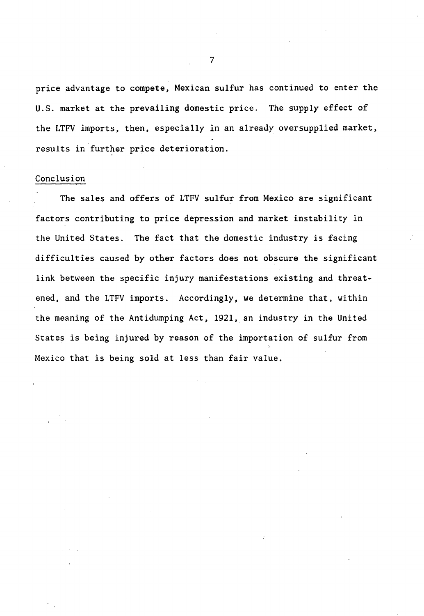price advantage to compete, Mexican sulfur has continued to enter the U.S. market at the prevailing domestic price. The supply effect of the LTFV imports, then, especially in an already oversupplied market, results in further price deterioration.

#### Conclusion

The sales and offers of LTFV sulfur from Mexico are significant factors contributing to price depression and market instability in the United States. The fact that the domestic industry is facing difficulties caused by other factors does not obscure the significant link between the specific injury manifestations existing and threatened, and the LTFV imports. Accordingly, we determine that, within the meaning of the Antidumping Act, 1921, an industry in the United States is being injured by reason of the importation of sulfur from Mexico that is being sold at less than fair value.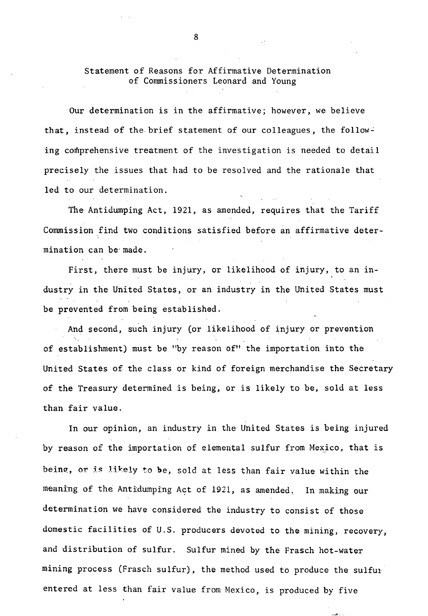## Statement of Reasons for Affirmative Determination of Commissioners Leonard and Young

Our determination is in the affirmative; however, we believe that, instead of the brief statement of our colleagues, the following comprehensive treatment of the investigation is needed to detail precisely the issues that had to be resolved and the rationale that led to our determination.

The Antidumping Act, 1921, as amended, requires that the Tariff Commission find two conditions satisfied before an affirmative determination can be· made.

First, there must be injury, or likelihood of injury, to an industry in the United States, or an industry in the United States must be prevented from being established.

And second, such injury (or likelihood of injury or prevention of establishment) must be "by reason of" the importation into the United States of the class or kind of foreign merchandise the Secretary of the Treasury determined is being, or is likely to be, sold at less than fair value.

In our opinion, an industry in the United States is being injured by reason of the importation of elemental sulfur from Mexico, that is being, or is likely to be, sold at less than fair value within the meaning of the Antidumping Act of 1921, as amended. In making our determination we have considered the industry to consist of those domestic facilities of U.S. producers devoted to the mining, recovery, and distribution of sulfur. Sulfur mined by the Frasch hot-water mining process (Frasch sulfur), the method used to produce the sulfur entered at less than fair value from Mexico, is produced by five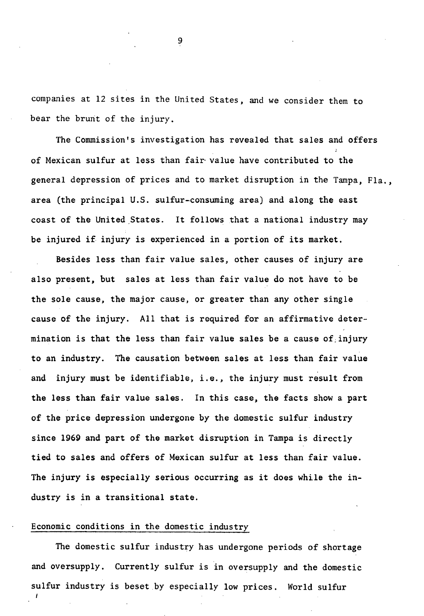companies at 12 sites in the United States, and we consider them to bear the brunt of the injury.

The Commission's investigation has revealed that sales and offers of Mexican sulfur at less than fair· value have contributed to the general depression of prices and to market disruption in the Tampa, Fla., area (the principal U.S. sulfur-consuming area) and along the east coast of the United States. It follows that a national industry may be injured if injury is experienced in a portion of its market.

Besides less than fair value sales, other causes of injury are also present, but sales at less than fair value do not have to be the sole cause, the major cause, or greater than any other single cause of the injury. All that is required for an affirmative determination is that the less than fair value sales be a cause of injury to an industry. The causation between sales at less than fair value and injury must be identifiable, i.e., the injury must result from the less than fair value sales. In this case, the facts show a part of the price depression undergone by the domestic sulfur industry since 1969 and part of the market disruption in Tampa is directly tied to sales and offers of Mexican sulfur at less than fair value. The injury is especially serious occurring as it does while the industry is in a transitional state.

## Economic conditions in the domestic industry

The domestic sulfur industry has undergone periods of shortage and oversupply. Currently sulfur is in oversupply and the domestic sulfur industry is beset by especially low prices. World sulfur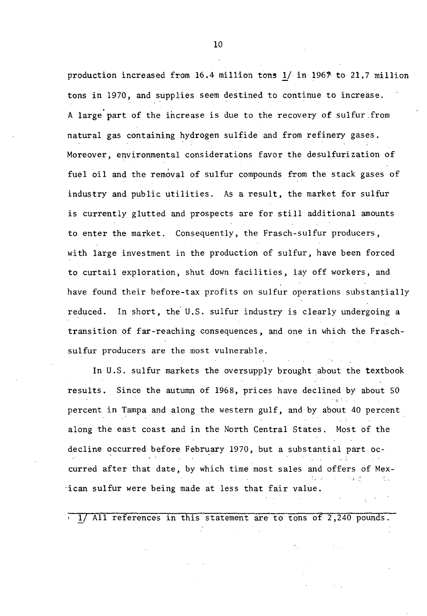production increased from 16.4 million tons  $1/$  in 1967 to 21.7 million tons in 1970, and supplies seem destined to continue to increase. A large part of the increase is due to the recovery of sulfur.from natural gas containing hydrogen sulfide and from refinery gases. Moreover, environmental considerations favor the desulfurization of fuel oil and the removal of sulfur compounds from the stack gases of industry and public utilities. As a result, the market for sulfur is currently glutted and prospects are for still additional amounts to enter the market. Consequently, the Frasch-sulfur producers, with large investment in the production of sulfur, have been forced to curtail exploration, shut down facilities, lay off workers, and have found their before-tax profits on sulfur operations substantially reduced. In short, the U.S. sulfur industry is clearly undergoing a transition of far-reaching consequences, and one in which the Fraschsulfur producers are the most vulnerable.

In U.S. sulfur markets the oversupply brought about the textbook results. Since the autumn of 1968, prices have declined by about 50 percent in Tampa and along the western gulf, and by about 40 percent along the east coast and in the North Central States. Most of the decline occurred before February 1970, but a substantial part occurred after that date, by which time most sales and offers of Mex-  $\cdot$  j ·ican sulfur were being made at less that fair value.

lJ All references in this statement are to tons of 2,240 pounds.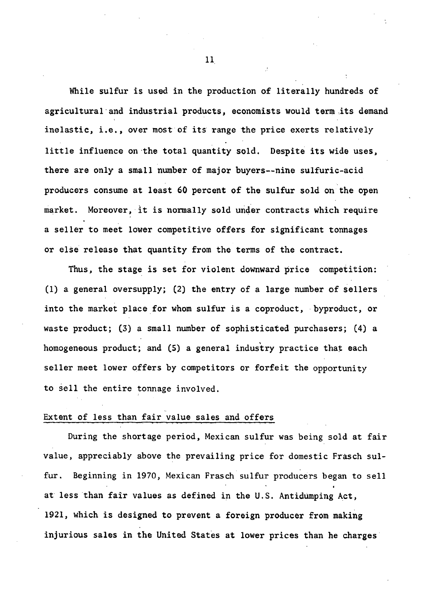While sulfur is used in the production of literally hundreds of agricultural·and industrial products, economists would term .its demand inelastic, i.e., over most of its range the price exerts relatively little influence on the total quantity sold. Despite its wide uses, there are only a small number of major buyers--nine sulfuric-acid producers consume at least 60 percent of the sulfur sold on the open market. Moreover, it is normally sold under contracts which require a seller to meet lower competitive offers for significant tonnages or else release that quantity from the terms of the contract.

Thus, the stage is set for violent downward price competition: (1) a general oversupply; (2) the entry of a large number of sellers into the market place for whom sulfur is a coproduct, byproduct, or waste product; (3) a small number of sophisticated purchasers; (4) a homogeneous product; and (5) a general industry practice that each seller meet lower offers by competitors or forfeit the opportunity to sell the entire tonnage involved.

#### Extent of less than fair value sales and offers

During the shortage period, Mexican sulfur was being sold at fair value, appreciably above the prevailing price for domestic Frasch sulfur. Beginning in 1970, Mexican Frasch sulfur producers began to sell at less than fair values as defined in the U.S. Antidumping Act, 1921, which is designed to prevent a foreign producer from making injurious sales in the United States at lower prices than he charges

11.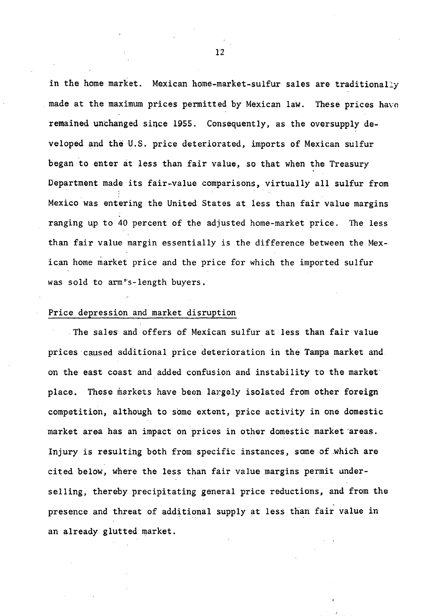in the home market. Mexican home-market-sulfur sales are traditionally made at the maximum prices permitted by Mexican law. These prices have remained unchanged since 1955. Consequently, as the oversupply developed and the U.S. price deteriorated, imports of Mexican sulfur began to enter at less than fair value, so that when the Treasury Department made its fair-value comparisons, virtually all sulfur from Mexico was entering the United States at iess than fair value margins ranging up to 40 percent of the adjusted home-market price. The less than fair value margin essentially is the difference between the Mexican home market price and the price for which the imported sulfur was sold to arm's-length buyers.

#### Price depression and market disruption

. The sales· and offers of Mexican sulfur at less than fair value prices caused additional price deterioration in the Tampa market and on the east coast and added confusion and instability to the market· place. These markets have been largely isolated from other foreign competition, although to some extent, price activity in one domestic market area has an impact on prices in other domestic market areas. Injury is resulting both from specific instances, some of .which are cited below, where the less than fair value margins permit underselling, thereby precipitating general price reductions, and from the presence and threat of additional supply at less than fair value in an already glutted market.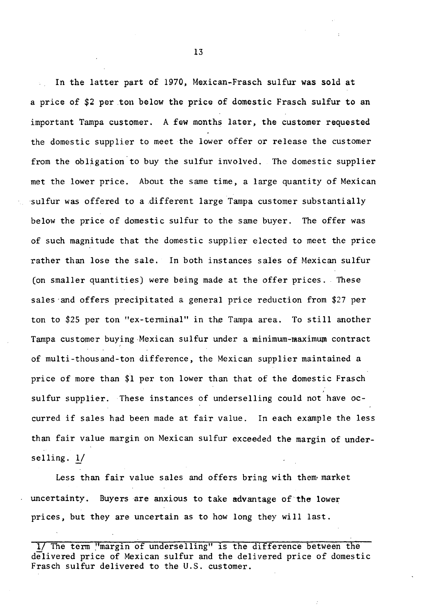In the latter part of 1970, Mexican-Frasch sulfur was sold at a price of \$2 per .ton below the price of domestic Frasch sulfur to an important Tampa customer. A few months later, the customer requested the domestic supplier to meet the lower offer or release the customer from the obligation to buy the sulfur involved. The domestic supplier met the lower price. About the same time, a large quantity of Mexican sulfur was offered to a different large Tampa customer substantially below the price of domestic sulfur to the same buyer. The offer was of such magnitude that the domestic supplier elected to meet the price rather than lose the sale. In both instances sales of Mexican sulfur (on smaller quantities) were being made at the offer prices. These sales and offers precipitated a general price reduction from \$27 per ton to \$25 per ton "ex-terminal" in the Tampa area. To still another Tampa customer buying-Mexican sulfur under a minimum-maximum contract of multi-thousand-ton difference, the Mexican supplier maintained a price of more than \$1 per ton lower than that of the domestic Frasch sulfur supplier. These instances of underselling could not have occurred if sales had been made at fair value. In each example the less than fair value margin on Mexican sulfur exceeded the margin of underselling.  $1/$ 

Less than fair value sales and offers bring with them· market uncertainty. Buyers are anxious to take advantage of the lower prices, but they are uncertain as to how long they will last.

1/ The term "margin of underselling" is the difference between the delivered price of Mexican sulfur and the delivered price of domestic Frasch sulfur delivered to the U.S. customer.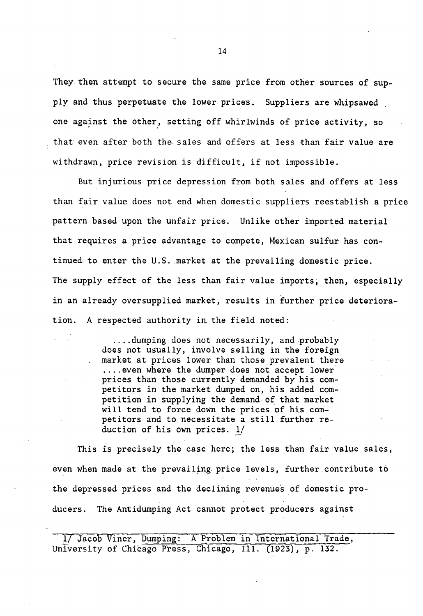They then attempt to secure the same price from other sources of supply and thus perpetuate the lower prices. Suppliers are whipsawed one against the other, setting off whirlwinds of price activity, so that even after both the sales and offers at less than fair value are withdrawn, price revision is difficult, if not impossible.

But injurious price depression from both sales and offers at less than fair value does not end when domestic suppliers reestablish a price pattern based upon the unfair price. Unlike other imported material that requires a price advantage to compete, Mexican sulfur has continued to enter the U.S. market at the prevailing domestic price. The supply effect of the less than fair value imports; then, especially in an already oversupplied market, results in further price deterioration. A respected authority in, the field noted:

> .... dumping does not necessarily, and probably does not usually, involve selling in the foreign market at prices lower than those prevalent there .... even where the dumper does not accept lower prices than those currently demanded by his competitors in the market dumped on, his added competition in supplying the demand of that market will tend to force down the prices of his competitors and to necessitate a still further reduction of his own prices.  $1/$

This is precisely the case here; the less than fair value sales, even when made at the prevailing price levels, further contribute to the depressed prices and the declining revenues of domestic producers. The Antidumping Act cannot protect producers against

1/ Jacob Viner, Dumping: A Problem in International Trade, University of Chicago Press, Chicago, Ill. (1923), p. 132.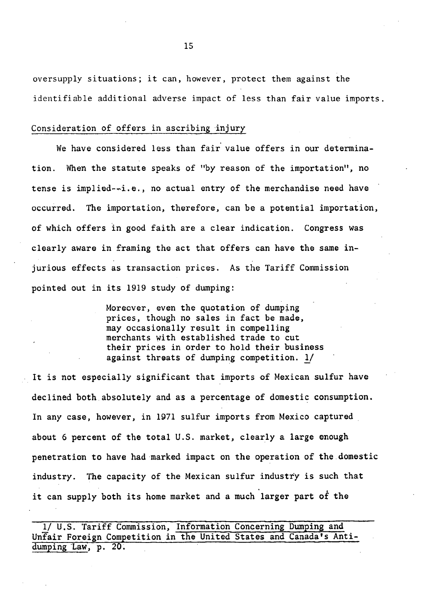oversupply situations; it can, however, protect them against the identifiable additional adverse impact of less than fair value imports.

#### Consideration of offers in ascribing injury

We have considered less than fair value offers in our determination. When the statute speaks of "by reason of the importation", no tense is implied--i.e., no actual entry of the merchandise need have occurred. The importation, therefore, can be a potential importation, of which offers in good faith are a clear indication. Congress was clearly aware in framing the act that offers can have the same injurious effects as transaction prices. As the Tariff Commission pointed out in its 1919 study of dumping:

> Moreover, even the quotation of dumping prices, though no sales in fact be made, may occasionally result in compelling merchants with established trade to cut their prices in order to hold their business against threats of dumping competition. *'l)*

It is not especially significant that imports of Mexican sulfur have declined both.absolutely and as a percentage of domestic consumption. In any case, however, in 1971 sulfur imports from Mexico captured about 6 percent of the total U.S. market, clearly a large enough penetration to have had marked impact on the operation of the domestic industry. The capacity of the Mexican sulfur industry is such that it can supply both its home market and a much larger part of the

1/ U.S. Tariff Commission, Information Concerning Dumping and Unfair Foreign Competition in the United States and Canada's Antidumping Law, p. 20.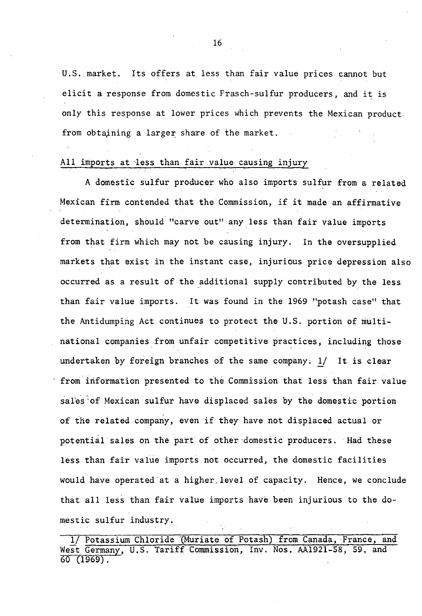U.S.,market. Its offers at less than fair value prices cannot but elicit a response from domestic Frasch-sulfur producers, and it is only this response at lower prices which prevents the Mexican product. from obtaining a larger share of the market.

#### All imports at less than fair value causing injury

A domestic sulfur producer who also imports sulfur from a related Mexican firm contended that the Commission, if it made an affirmative determination, should "carve out" any less than fair value imports from that firm which may not be causing injury. In the oversupplied markets that exist in the instant case, injurious price depression also occurred as a result of the additional supply contributed by the less than fair value imports. It was found in the 1969 "potash case" that the Antidumping Act continues to protect the U.S. portion of multinational companies from unfair competitive practices, including those undertaken by foreign branches of the same company: 1/ It is clear from information presented to the Commission that less than fair value sales of Mexican sulfur have displaced sales by the domestic portion of the related company, even if they have not displaced actual or potential sales on the part of other domestic producers. Had these less than fair value imports not occurred, the domestic facilities would have operated at a higher.level of capacity. Hence, we conclude that all less than fair value imports have been injurious to the domestic sulfur industry.

<sup>1/</sup> Potassium Chloride {Muriate of Potash) from Canada, ·France, and West Germany, U.S. Tariff Commission, Inv. Nos. AA1921-58, 59, and 60 (1969).